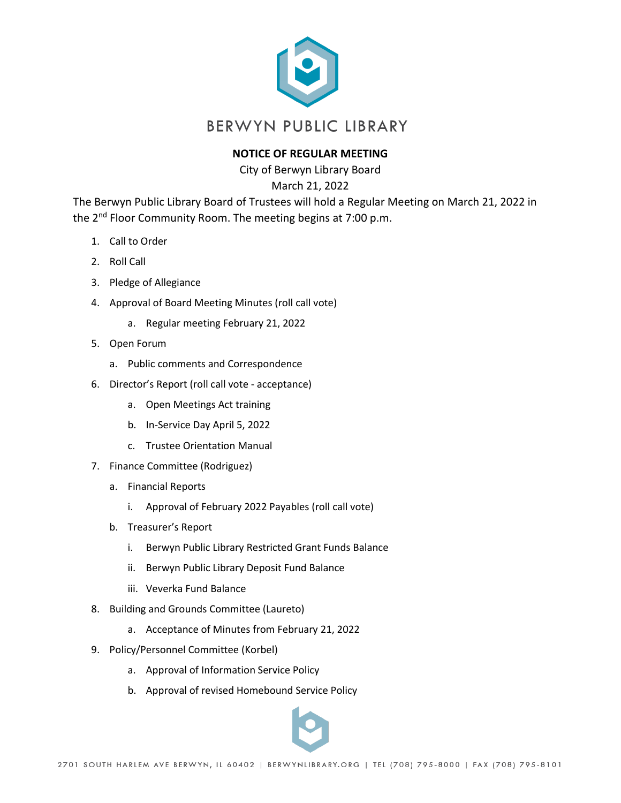

## **NOTICE OF REGULAR MEETING**

City of Berwyn Library Board

March 21, 2022

The Berwyn Public Library Board of Trustees will hold a Regular Meeting on March 21, 2022 in the 2<sup>nd</sup> Floor Community Room. The meeting begins at 7:00 p.m.

- 1. Call to Order
- 2. Roll Call
- 3. Pledge of Allegiance
- 4. Approval of Board Meeting Minutes (roll call vote)
	- a. Regular meeting February 21, 2022
- 5. Open Forum
	- a. Public comments and Correspondence
- 6. Director's Report (roll call vote acceptance)
	- a. Open Meetings Act training
	- b. In-Service Day April 5, 2022
	- c. Trustee Orientation Manual
- 7. Finance Committee (Rodriguez)
	- a. Financial Reports
		- i. Approval of February 2022 Payables (roll call vote)
	- b. Treasurer's Report
		- i. Berwyn Public Library Restricted Grant Funds Balance
		- ii. Berwyn Public Library Deposit Fund Balance
		- iii. Veverka Fund Balance
- 8. Building and Grounds Committee (Laureto)
	- a. Acceptance of Minutes from February 21, 2022
- 9. Policy/Personnel Committee (Korbel)
	- a. Approval of Information Service Policy
	- b. Approval of revised Homebound Service Policy

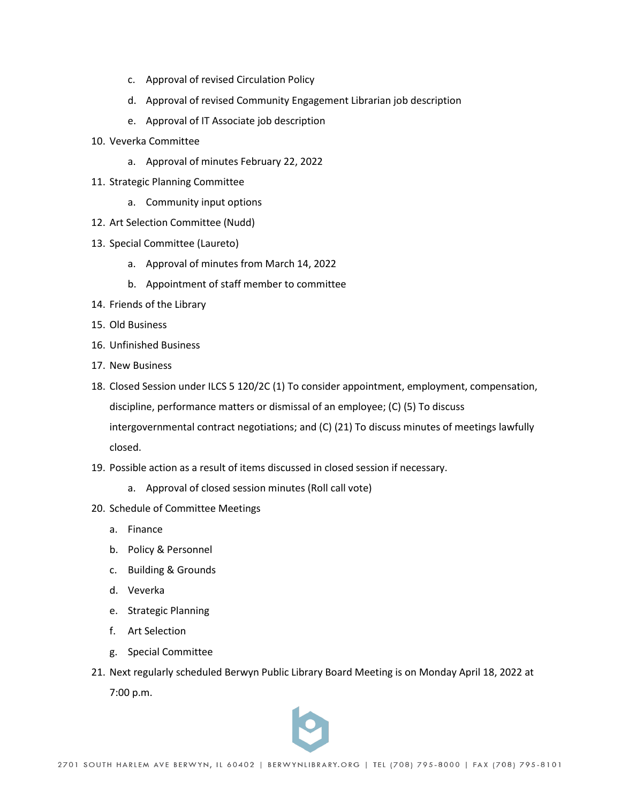- c. Approval of revised Circulation Policy
- d. Approval of revised Community Engagement Librarian job description
- e. Approval of IT Associate job description
- 10. Veverka Committee
	- a. Approval of minutes February 22, 2022
- 11. Strategic Planning Committee
	- a. Community input options
- 12. Art Selection Committee (Nudd)
- 13. Special Committee (Laureto)
	- a. Approval of minutes from March 14, 2022
	- b. Appointment of staff member to committee
- 14. Friends of the Library
- 15. Old Business
- 16. Unfinished Business
- 17. New Business
- 18. Closed Session under ILCS 5 120/2C (1) To consider appointment, employment, compensation, discipline, performance matters or dismissal of an employee; (C) (5) To discuss intergovernmental contract negotiations; and (C) (21) To discuss minutes of meetings lawfully closed.
- 19. Possible action as a result of items discussed in closed session if necessary.
	- a. Approval of closed session minutes (Roll call vote)
- 20. Schedule of Committee Meetings
	- a. Finance
	- b. Policy & Personnel
	- c. Building & Grounds
	- d. Veverka
	- e. Strategic Planning
	- f. Art Selection
	- g. Special Committee
- 21. Next regularly scheduled Berwyn Public Library Board Meeting is on Monday April 18, 2022 at 7:00 p.m.